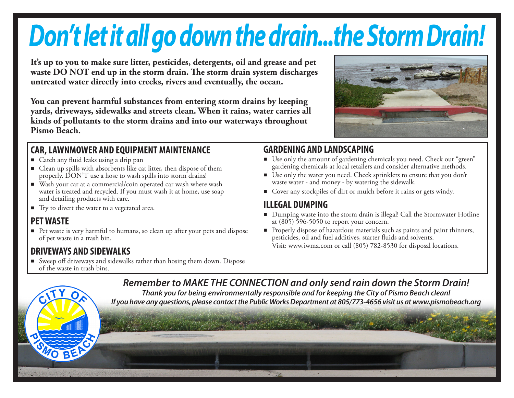# *Don't let it all go down the drain...the Storm Drain!*

**It's up to you to make sure litter, pesticides, detergents, oil and grease and pet waste DO NOT end up in the storm drain. The storm drain system discharges untreated water directly into creeks, rivers and eventually, the ocean.**

**You can prevent harmful substances from entering storm drains by keeping yards, driveways, sidewalks and streets clean. When it rains, water carries all kinds of pollutants to the storm drains and into our waterways throughout Pismo Beach.**

#### **CAR, LAWNMOWER AND EQUIPMENT MAINTENANCE**

- e Catch any fluid leaks using a drip pan
- $\blacksquare$  Clean up spills with absorbents like cat litter, then dispose of them properly. DON'T use a hose to wash spills into storm drains!
- Wash your car at a commercial/coin operated car wash where wash water is treated and recycled. If you must wash it at home, use soap and detailing products with care.
- Try to divert the water to a vegetated area.

### **PET WASTE**

e Pet waste is very harmful to humans, so clean up after your pets and dispose of pet waste in a trash bin.

### **DRIVEWAYS AND SIDEWALKS**

e Sweep off driveways and sidewalks rather than hosing them down. Dispose of the waste in trash bins.

# **GARDENING AND LANDSCAPING**

- e Use only the amount of gardening chemicals you need. Check out "green" gardening chemicals at local retailers and consider alternative methods.
- e Use only the water you need. Check sprinklers to ensure that you don't waste water - and money - by watering the sidewalk.
- Cover any stockpiles of dirt or mulch before it rains or gets windy.

### **ILLEGAL DUMPING**

- e Dumping waste into the storm drain is illegal! Call the Stormwater Hotline at  $(805)$  596-5050 to report your concern.
- e Properly dispose of hazardous materials such as paints and paint thinners, pesticides, oil and fuel additives, starter fluids and solvents. Visit: www.iwma.com or call (805) 782-8530 for disposal locations.

*Remember to MAKE THE CONNECTION and only send rain down the Storm Drain! Thank you for being environmentally responsible and for keeping the City of Pismo Beach clean! If you have any questions, please contact the Public Works Department at 805/773-4656 visit us at www.pismobeach.org*